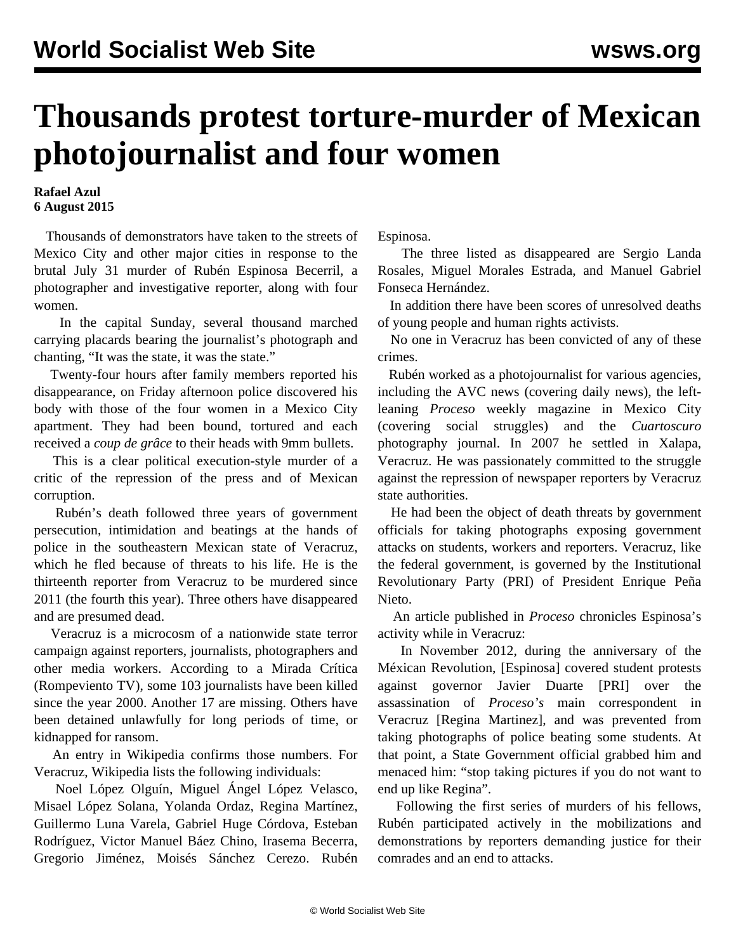## **Thousands protest torture-murder of Mexican photojournalist and four women**

## **Rafael Azul 6 August 2015**

 Thousands of demonstrators have taken to the streets of Mexico City and other major cities in response to the brutal July 31 murder of Rubén Espinosa Becerril, a photographer and investigative reporter, along with four women.

 In the capital Sunday, several thousand marched carrying placards bearing the journalist's photograph and chanting, "It was the state, it was the state."

 Twenty-four hours after family members reported his disappearance, on Friday afternoon police discovered his body with those of the four women in a Mexico City apartment. They had been bound, tortured and each received a *coup de grâce* to their heads with 9mm bullets.

 This is a clear political execution-style murder of a critic of the repression of the press and of Mexican corruption.

 Rubén's death followed three years of government persecution, intimidation and beatings at the hands of police in the southeastern Mexican state of Veracruz, which he fled because of threats to his life. He is the thirteenth reporter from Veracruz to be murdered since 2011 (the fourth this year). Three others have disappeared and are presumed dead.

 Veracruz is a microcosm of a nationwide state terror campaign against reporters, journalists, photographers and other media workers. According to a Mirada Crítica (Rompeviento TV), some 103 journalists have been killed since the year 2000. Another 17 are missing. Others have been detained unlawfully for long periods of time, or kidnapped for ransom.

 An entry in Wikipedia confirms those numbers. For Veracruz, Wikipedia lists the following individuals:

 Noel López Olguín, Miguel Ángel López Velasco, Misael López Solana, Yolanda Ordaz, Regina Martínez, Guillermo Luna Varela, Gabriel Huge Córdova, Esteban Rodríguez, Victor Manuel Báez Chino, Irasema Becerra, Gregorio Jiménez, Moisés Sánchez Cerezo. Rubén

Espinosa.

 The three listed as disappeared are Sergio Landa Rosales, Miguel Morales Estrada, and Manuel Gabriel Fonseca Hernández.

 In addition there have been scores of unresolved deaths of young people and human rights activists.

 No one in Veracruz has been convicted of any of these crimes.

 Rubén worked as a photojournalist for various agencies, including the AVC news (covering daily news), the leftleaning *Proceso* weekly magazine in Mexico City (covering social struggles) and the *Cuartoscuro* photography journal. In 2007 he settled in Xalapa, Veracruz. He was passionately committed to the struggle against the repression of newspaper reporters by Veracruz state authorities.

 He had been the object of death threats by government officials for taking photographs exposing government attacks on students, workers and reporters. Veracruz, like the federal government, is governed by the Institutional Revolutionary Party (PRI) of President Enrique Peña Nieto.

 An article published in *Proceso* chronicles Espinosa's activity while in Veracruz:

 In November 2012, during the anniversary of the Méxican Revolution, [Espinosa] covered student protests against governor Javier Duarte [PRI] over the assassination of *Proceso's* main correspondent in Veracruz [Regina Martinez], and was prevented from taking photographs of police beating some students. At that point, a State Government official grabbed him and menaced him: "stop taking pictures if you do not want to end up like Regina".

 Following the first series of murders of his fellows, Rubén participated actively in the mobilizations and demonstrations by reporters demanding justice for their comrades and an end to attacks.